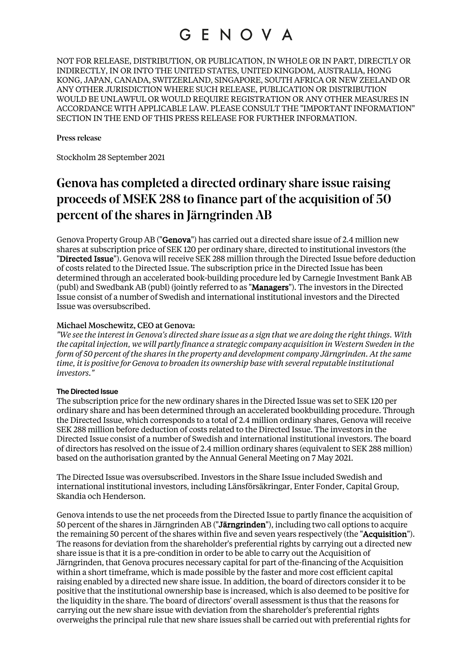NOT FOR RELEASE, DISTRIBUTION, OR PUBLICATION, IN WHOLE OR IN PART, DIRECTLY OR INDIRECTLY, IN OR INTO THE UNITED STATES, UNITED KINGDOM, AUSTRALIA, HONG KONG, JAPAN, CANADA, SWITZERLAND, SINGAPORE, SOUTH AFRICA OR NEW ZEELAND OR ANY OTHER JURISDICTION WHERE SUCH RELEASE, PUBLICATION OR DISTRIBUTION WOULD BE UNLAWFUL OR WOULD REQUIRE REGISTRATION OR ANY OTHER MEASURES IN ACCORDANCE WITH APPLICABLE LAW. PLEASE CONSULT THE "IMPORTANT INFORMATION" SECTION IN THE END OF THIS PRESS RELEASE FOR FURTHER INFORMATION.

#### Press release

Stockholm 28 September 2021

### Genova has completed a directed ordinary share issue raising proceeds of MSEK 288 to finance part of the acquisition of 50 percent of the shares in Järngrinden AB

Genova Property Group AB ("Genova") has carried out a directed share issue of 2.4 million new shares at subscription price of SEK 120 per ordinary share, directed to institutional investors (the "Directed Issue"). Genova will receive SEK 288 million through the Directed Issue before deduction of costs related to the Directed Issue. The subscription price in the Directed Issue has been determined through an accelerated book-building procedure led by Carnegie Investment Bank AB (publ) and Swedbank AB (publ) (jointly referred to as "Managers"). The investors in the Directed Issue consist of a number of Swedish and international institutional investors and the Directed Issue was oversubscribed.

### Michael Moschewitz, CEO at Genova:

*"We see the interest in Genova's directed share issue as a sign that we are doing the right things. With the capital injection, we will partly finance a strategic company acquisition in Western Sweden in the form of 50 percent of the shares in the property and development company Järngrinden. At the same time, it is positive for Genova to broaden its ownership base with several reputable institutional investors."*

### **The Directed Issue**

The subscription price for the new ordinary shares in the Directed Issue was set to SEK 120 per ordinary share and has been determined through an accelerated bookbuilding procedure. Through the Directed Issue, which corresponds to a total of 2.4 million ordinary shares, Genova will receive SEK 288 million before deduction of costs related to the Directed Issue. The investors in the Directed Issue consist of a number of Swedish and international institutional investors. The board of directors has resolved on the issue of 2.4 million ordinary shares (equivalent to SEK 288 million) based on the authorisation granted by the Annual General Meeting on 7 May 2021.

The Directed Issue was oversubscribed. Investors in the Share Issue included Swedish and international institutional investors, including Länsförsäkringar, Enter Fonder, Capital Group, Skandia och Henderson.

Genova intends to use the net proceeds from the Directed Issue to partly finance the acquisition of 50 percent of the shares in Järngrinden AB ("Järngrinden"), including two call options to acquire the remaining 50 percent of the shares within five and seven years respectively (the "Acquisition"). The reasons for deviation from the shareholder's preferential rights by carrying out a directed new share issue is that it is a pre-condition in order to be able to carry out the Acquisition of Järngrinden, that Genova procures necessary capital for part of the-financing of the Acquisition within a short timeframe, which is made possible by the faster and more cost efficient capital raising enabled by a directed new share issue. In addition, the board of directors consider it to be positive that the institutional ownership base is increased, which is also deemed to be positive for the liquidity in the share. The board of directors' overall assessment is thus that the reasons for carrying out the new share issue with deviation from the shareholder's preferential rights overweighs the principal rule that new share issues shall be carried out with preferential rights for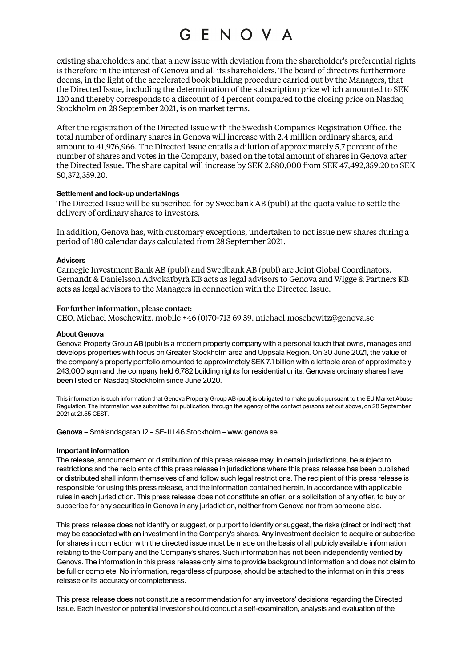existing shareholders and that a new issue with deviation from the shareholder's preferential rights is therefore in the interest of Genova and all its shareholders. The board of directors furthermore deems, in the light of the accelerated book building procedure carried out by the Managers, that the Directed Issue, including the determination of the subscription price which amounted to SEK 120 and thereby corresponds to a discount of 4 percent compared to the closing price on Nasdaq Stockholm on 28 September 2021, is on market terms.

After the registration of the Directed Issue with the Swedish Companies Registration Office, the total number of ordinary shares in Genova will increase with 2.4 million ordinary shares, and amount to 41,976,966. The Directed Issue entails a dilution of approximately 5,7 percent of the number of shares and votes in the Company, based on the total amount of shares in Genova after the Directed Issue. The share capital will increase by SEK 2,880,000 from SEK 47,492,359.20 to SEK 50,372,359.20.

#### **Settlement and lock-up undertakings**

The Directed Issue will be subscribed for by Swedbank AB (publ) at the quota value to settle the delivery of ordinary shares to investors.

In addition, Genova has, with customary exceptions, undertaken to not issue new shares during a period of 180 calendar days calculated from 28 September 2021.

#### **Advisers**

Carnegie Investment Bank AB (publ) and Swedbank AB (publ) are Joint Global Coordinators. Gernandt & Danielsson Advokatbyrå KB acts as legal advisors to Genova and Wigge & Partners KB acts as legal advisors to the Managers in connection with the Directed Issue.

#### For further information, please contact:

CEO, Michael Moschewitz, mobile +46 (0)70-713 69 39, michael.moschewitz@genova.se

#### **About Genova**

Genova Property Group AB (publ) is a modern property company with a personal touch that owns, manages and develops properties with focus on Greater Stockholm area and Uppsala Region. On 30 June 2021, the value of the company's property portfolio amounted to approximately SEK 7.1 billion with a lettable area of approximately 243,000 sqm and the company held 6,782 building rights for residential units. Genova's ordinary shares have been listed on Nasdaq Stockholm since June 2020.

This information is such information that Genova Property Group AB (publ) is obligated to make public pursuant to the EU Market Abuse Regulation. The information was submitted for publication, through the agency of the contact persons set out above, on 28 September 2021 at 21.55 CEST.

Genova – Smålandsgatan 12 – SE-111 46 Stockholm – www.genova.se

#### **Important information**

The release, announcement or distribution of this press release may, in certain jurisdictions, be subject to restrictions and the recipients of this press release in jurisdictions where this press release has been published or distributed shall inform themselves of and follow such legal restrictions. The recipient of this press release is responsible for using this press release, and the information contained herein, in accordance with applicable rules in each jurisdiction. This press release does not constitute an offer, or a solicitation of any offer, to buy or subscribe for any securities in Genova in any jurisdiction, neither from Genova nor from someone else.

This press release does not identify or suggest, or purport to identify or suggest, the risks (direct or indirect) that may be associated with an investment in the Company's shares. Any investment decision to acquire or subscribe for shares in connection with the directed issue must be made on the basis of all publicly available information relating to the Company and the Company's shares. Such information has not been independently verified by Genova. The information in this press release only aims to provide background information and does not claim to be full or complete. No information, regardless of purpose, should be attached to the information in this press release or its accuracy or completeness.

This press release does not constitute a recommendation for any investors' decisions regarding the Directed Issue. Each investor or potential investor should conduct a self-examination, analysis and evaluation of the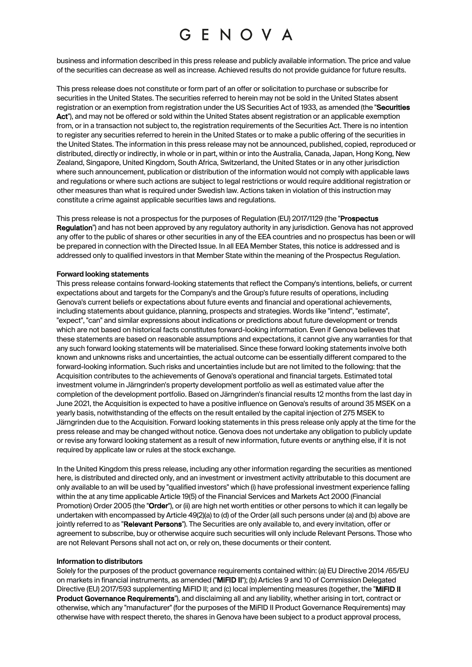business and information described in this press release and publicly available information. The price and value of the securities can decrease as well as increase. Achieved results do not provide guidance for future results.

This press release does not constitute or form part of an offer or solicitation to purchase or subscribe for securities in the United States. The securities referred to herein may not be sold in the United States absent registration or an exemption from registration under the US Securities Act of 1933, as amended (the "Securities Act"), and may not be offered or sold within the United States absent registration or an applicable exemption from, or in a transaction not subject to, the registration requirements of the Securities Act. There is no intention to register any securities referred to herein in the United States or to make a public offering of the securities in the United States. The information in this press release may not be announced, published, copied, reproduced or distributed, directly or indirectly, in whole or in part, within or into the Australia, Canada, Japan, Hong Kong, New Zealand, Singapore, United Kingdom, South Africa, Switzerland, the United States or in any other jurisdiction where such announcement, publication or distribution of the information would not comply with applicable laws and regulations or where such actions are subject to legal restrictions or would require additional registration or other measures than what is required under Swedish law. Actions taken in violation of this instruction may constitute a crime against applicable securities laws and regulations.

This press release is not a prospectus for the purposes of Regulation (EU) 2017/1129 (the "Prospectus Regulation") and has not been approved by any regulatory authority in any jurisdiction. Genova has not approved any offer to the public of shares or other securities in any of the EEA countries and no prospectus has been or will be prepared in connection with the Directed Issue. In all EEA Member States, this notice is addressed and is addressed only to qualified investors in that Member State within the meaning of the Prospectus Regulation.

#### **Forward looking statements**

This press release contains forward-looking statements that reflect the Company's intentions, beliefs, or current expectations about and targets for the Company's and the Group's future results of operations, including Genova's current beliefs or expectations about future events and financial and operational achievements, including statements about guidance, planning, prospects and strategies. Words like "intend", "estimate", "expect", "can" and similar expressions about indications or predictions about future development or trends which are not based on historical facts constitutes forward-looking information. Even if Genova believes that these statements are based on reasonable assumptions and expectations, it cannot give any warranties for that any such forward looking statements will be materialised. Since these forward looking statements involve both known and unknowns risks and uncertainties, the actual outcome can be essentially different compared to the forward-looking information. Such risks and uncertainties include but are not limited to the following: that the Acquisition contributes to the achievements of Genova's operational and financial targets. Estimated total investment volume in Järngrinden's property development portfolio as well as estimated value after the completion of the development portfolio. Based on Järngrinden's financial results 12 months from the last day in June 2021, the Acquisition is expected to have a positive influence on Genova's results of around 35 MSEK on a yearly basis, notwithstanding of the effects on the result entailed by the capital injection of 275 MSEK to Järngrinden due to the Acquisition. Forward looking statements in this press release only apply at the time for the press release and may be changed without notice. Genova does not undertake any obligation to publicly update or revise any forward looking statement as a result of new information, future events or anything else, if it is not required by applicate law or rules at the stock exchange.

In the United Kingdom this press release, including any other information regarding the securities as mentioned here, is distributed and directed only, and an investment or investment activity attributable to this document are only available to an will be used by "qualified investors" which (i) have professional investment experience falling within the at any time applicable Article 19(5) of the Financial Services and Markets Act 2000 (Financial Promotion) Order 2005 (the "Order"), or (ii) are high net worth entities or other persons to which it can legally be undertaken with encompassed by Article 49(2)(a) to (d) of the Order (all such persons under (a) and (b) above are jointly referred to as "Relevant Persons"). The Securities are only available to, and every invitation, offer or agreement to subscribe, buy or otherwise acquire such securities will only include Relevant Persons. Those who are not Relevant Persons shall not act on, or rely on, these documents or their content.

#### **Information to distributors**

Solely for the purposes of the product governance requirements contained within: (a) EU Directive 2014 /65/EU on markets in financial instruments, as amended ("MiFID II"); (b) Articles 9 and 10 of Commission Delegated Directive (EU) 2017/593 supplementing MiFID II; and (c) local implementing measures (together, the "MIFID II Product Governance Requirements"), and disclaiming all and any liability, whether arising in tort, contract or otherwise, which any "manufacturer" (for the purposes of the MiFID II Product Governance Requirements) may otherwise have with respect thereto, the shares in Genova have been subject to a product approval process,